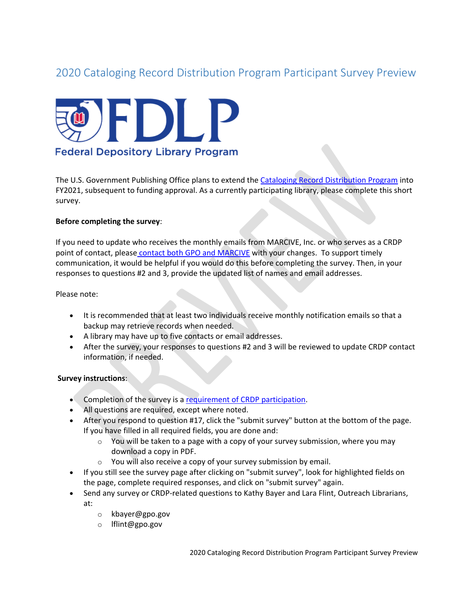# 2020 Cataloging Record Distribution Program Participant Survey Preview



The U.S. Government Publishing Office plans to extend th[e Cataloging Record Distribution Program](https://www.fdlp.gov/catalogingandclassification/cataloging-record-distribution-program) into FY2021, subsequent to funding approval. As a currently participating library, please complete this short survey.

#### **Before completing the survey**:

If you need to update who receives the monthly emails from MARCIVE, Inc. or who serves as a CRDP point of contact, please [contact both GPO and MARCIVE](https://www.fdlp.gov/catalogingandclassification/cataloging-record-distribution-program#guidance_quest_tech) with your changes. To support timely communication, it would be helpful if you would do this before completing the survey. Then, in your responses to questions #2 and 3, provide the updated list of names and email addresses.

Please note:

- It is recommended that at least two individuals receive monthly notification emails so that a backup may retrieve records when needed.
- A library may have up to five contacts or email addresses.
- After the survey, your responses to questions #2 and 3 will be reviewed to update CRDP contact information, if needed.

#### **Survey instructions**:

- Completion of the survey is a [requirement of CRDP participation.](https://www.fdlp.gov/catalogingandclassification/cataloging-record-distribution-program#part_req)
- All questions are required, except where noted.
- After you respond to question #17, click the "submit survey" button at the bottom of the page. If you have filled in all required fields, you are done and:
	- $\circ$  You will be taken to a page with a copy of your survey submission, where you may download a copy in PDF.
	- $\circ$  You will also receive a copy of your survey submission by email.
- If you still see the survey page after clicking on "submit survey", look for highlighted fields on the page, complete required responses, and click on "submit survey" again.
- Send any survey or CRDP-related questions to Kathy Bayer and Lara Flint, Outreach Librarians, at:
	- o kbayer@gpo.gov
	- o lflint@gpo.gov

2020 Cataloging Record Distribution Program Participant Survey Preview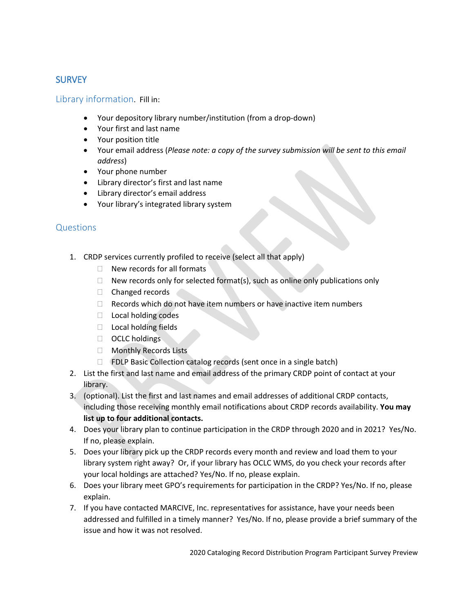## **SURVEY**

Library information. Fill in:

- Your depository library number/institution (from a drop-down)
- Your first and last name
- Your position title
- Your email address (*Please note: a copy of the survey submission will be sent to this email address*)
- Your phone number
- Library director's first and last name
- Library director's email address
- Your library's integrated library system

### **Questions**

- 1. CRDP services currently profiled to receive (select all that apply)
	- $\Box$  New records for all formats
	- $\Box$  New records only for selected format(s), such as online only publications only
	- $\Box$  Changed records
	- $\Box$  Records which do not have item numbers or have inactive item numbers
	- □ Local holding codes
	- $\Box$  Local holding fields
	- OCLC holdings
	- □ Monthly Records Lists
	- □ FDLP Basic Collection catalog records (sent once in a single batch)
- 2. List the first and last name and email address of the primary CRDP point of contact at your library.
- 3. (optional). List the first and last names and email addresses of additional CRDP contacts, including those receiving monthly email notifications about CRDP records availability. **You may list up to four additional contacts.**
- 4. Does your library plan to continue participation in the CRDP through 2020 and in 2021? Yes/No. If no, please explain.
- 5. Does your library pick up the CRDP records every month and review and load them to your library system right away? Or, if your library has OCLC WMS, do you check your records after your local holdings are attached? Yes/No. If no, please explain.
- 6. Does your library meet [GPO's requirements for participation](https://www.fdlp.gov/catalogingandclassification/cataloging-record-distribution-program#part_req) in the CRDP? Yes/No. If no, please explain.
- 7. If you have contacted MARCIVE, Inc. representatives for assistance, have your needs been addressed and fulfilled in a timely manner? Yes/No. If no, please provide a brief summary of the issue and how it was not resolved.